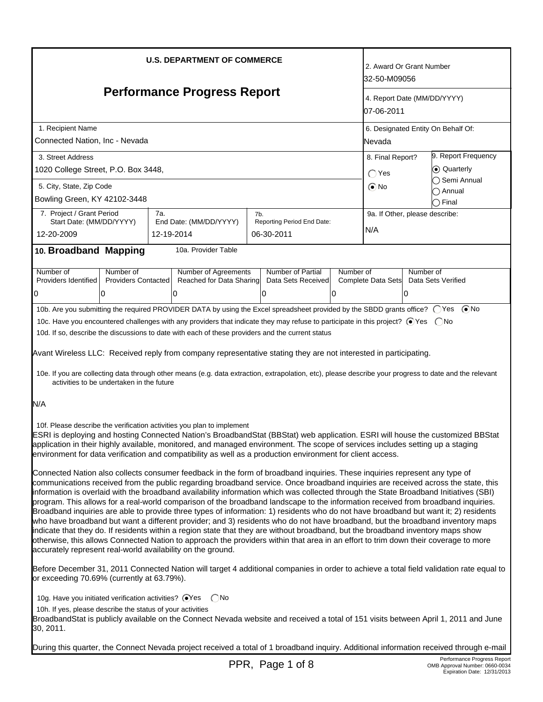| <b>U.S. DEPARTMENT OF COMMERCE</b>                                                                                                                                                                                                                                                                                                                                                                                                                                                                                                                                                                                                                                                                                                                                                                                                                                                                                                                                                                                                  |     |                          |                            |                    | 2. Award Or Grant Number<br>32-50-M09056  |                                |             |                                    |
|-------------------------------------------------------------------------------------------------------------------------------------------------------------------------------------------------------------------------------------------------------------------------------------------------------------------------------------------------------------------------------------------------------------------------------------------------------------------------------------------------------------------------------------------------------------------------------------------------------------------------------------------------------------------------------------------------------------------------------------------------------------------------------------------------------------------------------------------------------------------------------------------------------------------------------------------------------------------------------------------------------------------------------------|-----|--------------------------|----------------------------|--------------------|-------------------------------------------|--------------------------------|-------------|------------------------------------|
| <b>Performance Progress Report</b>                                                                                                                                                                                                                                                                                                                                                                                                                                                                                                                                                                                                                                                                                                                                                                                                                                                                                                                                                                                                  |     |                          |                            |                    | 4. Report Date (MM/DD/YYYY)<br>07-06-2011 |                                |             |                                    |
| 1. Recipient Name                                                                                                                                                                                                                                                                                                                                                                                                                                                                                                                                                                                                                                                                                                                                                                                                                                                                                                                                                                                                                   |     |                          |                            |                    |                                           |                                |             | 6. Designated Entity On Behalf Of: |
| Connected Nation, Inc - Nevada                                                                                                                                                                                                                                                                                                                                                                                                                                                                                                                                                                                                                                                                                                                                                                                                                                                                                                                                                                                                      |     |                          |                            |                    |                                           | lNevada                        |             |                                    |
| 3. Street Address                                                                                                                                                                                                                                                                                                                                                                                                                                                                                                                                                                                                                                                                                                                                                                                                                                                                                                                                                                                                                   |     |                          |                            |                    | 9. Report Frequency<br>8. Final Report?   |                                |             |                                    |
| 1020 College Street, P.O. Box 3448,                                                                                                                                                                                                                                                                                                                                                                                                                                                                                                                                                                                                                                                                                                                                                                                                                                                                                                                                                                                                 |     |                          |                            |                    |                                           | $\bigcap$ Yes                  | C Quarterly |                                    |
| 5. City, State, Zip Code                                                                                                                                                                                                                                                                                                                                                                                                                                                                                                                                                                                                                                                                                                                                                                                                                                                                                                                                                                                                            |     |                          |                            |                    |                                           | $\odot$ No                     |             | Semi Annual                        |
| Bowling Green, KY 42102-3448                                                                                                                                                                                                                                                                                                                                                                                                                                                                                                                                                                                                                                                                                                                                                                                                                                                                                                                                                                                                        |     |                          |                            |                    |                                           |                                |             | Annual<br>◯ Final                  |
| 7. Project / Grant Period                                                                                                                                                                                                                                                                                                                                                                                                                                                                                                                                                                                                                                                                                                                                                                                                                                                                                                                                                                                                           | 7а. |                          | 7b.                        |                    |                                           | 9a. If Other, please describe: |             |                                    |
| Start Date: (MM/DD/YYYY)                                                                                                                                                                                                                                                                                                                                                                                                                                                                                                                                                                                                                                                                                                                                                                                                                                                                                                                                                                                                            |     | End Date: (MM/DD/YYYY)   | Reporting Period End Date: |                    |                                           | N/A                            |             |                                    |
| 12-20-2009                                                                                                                                                                                                                                                                                                                                                                                                                                                                                                                                                                                                                                                                                                                                                                                                                                                                                                                                                                                                                          |     | 12-19-2014               | 06-30-2011                 |                    |                                           |                                |             |                                    |
| 10. Broadband Mapping                                                                                                                                                                                                                                                                                                                                                                                                                                                                                                                                                                                                                                                                                                                                                                                                                                                                                                                                                                                                               |     | 10a. Provider Table      |                            |                    |                                           |                                |             |                                    |
| Number of<br>Number of                                                                                                                                                                                                                                                                                                                                                                                                                                                                                                                                                                                                                                                                                                                                                                                                                                                                                                                                                                                                              |     | Number of Agreements     |                            | Number of Partial  | Number of                                 |                                | Number of   |                                    |
| Providers Identified<br><b>Providers Contacted</b>                                                                                                                                                                                                                                                                                                                                                                                                                                                                                                                                                                                                                                                                                                                                                                                                                                                                                                                                                                                  |     | Reached for Data Sharing |                            | Data Sets Received |                                           | Complete Data Sets             |             | Data Sets Verified                 |
| 0<br>0<br>10b. Are you submitting the required PROVIDER DATA by using the Excel spreadsheet provided by the SBDD grants office? ○ Yes ● No                                                                                                                                                                                                                                                                                                                                                                                                                                                                                                                                                                                                                                                                                                                                                                                                                                                                                          |     | 0                        | 0                          |                    | Ω                                         |                                | 0           |                                    |
| 10c. Have you encountered challenges with any providers that indicate they may refuse to participate in this project? ⊙ Yes  ONo<br>10d. If so, describe the discussions to date with each of these providers and the current status<br>Avant Wireless LLC: Received reply from company representative stating they are not interested in participating.<br>10e. If you are collecting data through other means (e.g. data extraction, extrapolation, etc), please describe your progress to date and the relevant<br>activities to be undertaken in the future<br>N/A                                                                                                                                                                                                                                                                                                                                                                                                                                                              |     |                          |                            |                    |                                           |                                |             |                                    |
| 10f. Please describe the verification activities you plan to implement<br>ESRI is deploying and hosting Connected Nation's BroadbandStat (BBStat) web application. ESRI will house the customized BBStat<br>application in their highly available, monitored, and managed environment. The scope of services includes setting up a staging<br>environment for data verification and compatibility as well as a production environment for client access.<br>Connected Nation also collects consumer feedback in the form of broadband inquiries. These inquiries represent any type of                                                                                                                                                                                                                                                                                                                                                                                                                                              |     |                          |                            |                    |                                           |                                |             |                                    |
| communications received from the public regarding broadband service. Once broadband inquiries are received across the state, this<br>information is overlaid with the broadband availability information which was collected through the State Broadband Initiatives (SBI)<br>program. This allows for a real-world comparison of the broadband landscape to the information received from broadband inquiries.<br>Broadband inquiries are able to provide three types of information: 1) residents who do not have broadband but want it; 2) residents<br>who have broadband but want a different provider; and 3) residents who do not have broadband, but the broadband inventory maps<br>indicate that they do. If residents within a region state that they are without broadband, but the broadband inventory maps show<br>otherwise, this allows Connected Nation to approach the providers within that area in an effort to trim down their coverage to more<br>accurately represent real-world availability on the ground. |     |                          |                            |                    |                                           |                                |             |                                    |
| Before December 31, 2011 Connected Nation will target 4 additional companies in order to achieve a total field validation rate equal to<br>or exceeding 70.69% (currently at 63.79%).                                                                                                                                                                                                                                                                                                                                                                                                                                                                                                                                                                                                                                                                                                                                                                                                                                               |     |                          |                            |                    |                                           |                                |             |                                    |
| 10g. Have you initiated verification activities? @Yes CNo<br>10h. If yes, please describe the status of your activities<br>BroadbandStat is publicly available on the Connect Nevada website and received a total of 151 visits between April 1, 2011 and June<br>30, 2011.                                                                                                                                                                                                                                                                                                                                                                                                                                                                                                                                                                                                                                                                                                                                                         |     |                          |                            |                    |                                           |                                |             |                                    |
| During this quarter, the Connect Nevada project received a total of 1 broadband inquiry. Additional information received through e-mail                                                                                                                                                                                                                                                                                                                                                                                                                                                                                                                                                                                                                                                                                                                                                                                                                                                                                             |     |                          |                            |                    |                                           |                                |             |                                    |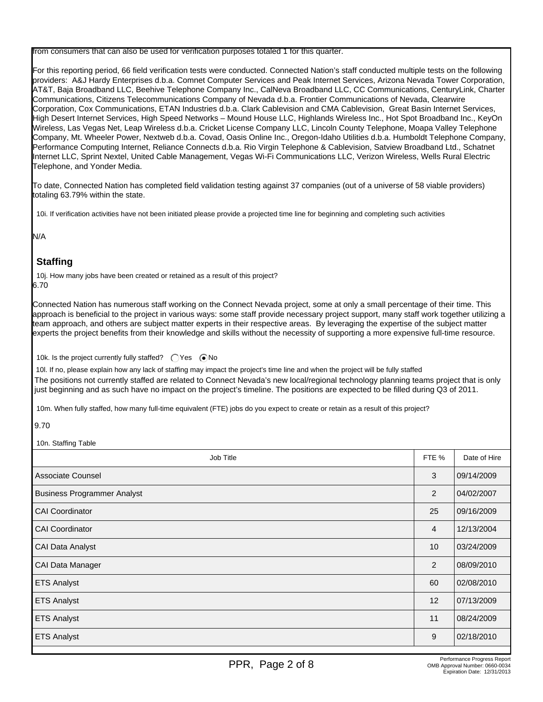from consumers that can also be used for verification purposes totaled 1 for this quarter.

For this reporting period, 66 field verification tests were conducted. Connected Nation's staff conducted multiple tests on the following providers: A&J Hardy Enterprises d.b.a. Comnet Computer Services and Peak Internet Services, Arizona Nevada Tower Corporation, AT&T, Baja Broadband LLC, Beehive Telephone Company Inc., CalNeva Broadband LLC, CC Communications, CenturyLink, Charter Communications, Citizens Telecommunications Company of Nevada d.b.a. Frontier Communications of Nevada, Clearwire Corporation, Cox Communications, ETAN Industries d.b.a. Clark Cablevision and CMA Cablevision, Great Basin Internet Services, High Desert Internet Services, High Speed Networks – Mound House LLC, Highlands Wireless Inc., Hot Spot Broadband Inc., KeyOn Wireless, Las Vegas Net, Leap Wireless d.b.a. Cricket License Company LLC, Lincoln County Telephone, Moapa Valley Telephone Company, Mt. Wheeler Power, Nextweb d.b.a. Covad, Oasis Online Inc., Oregon-Idaho Utilities d.b.a. Humboldt Telephone Company, Performance Computing Internet, Reliance Connects d.b.a. Rio Virgin Telephone & Cablevision, Satview Broadband Ltd., Schatnet Internet LLC, Sprint Nextel, United Cable Management, Vegas Wi-Fi Communications LLC, Verizon Wireless, Wells Rural Electric Telephone, and Yonder Media.

To date, Connected Nation has completed field validation testing against 37 companies (out of a universe of 58 viable providers) totaling 63.79% within the state.

10i. If verification activities have not been initiated please provide a projected time line for beginning and completing such activities

N/A

# **Staffing**

10j. How many jobs have been created or retained as a result of this project? 6.70

Connected Nation has numerous staff working on the Connect Nevada project, some at only a small percentage of their time. This approach is beneficial to the project in various ways: some staff provide necessary project support, many staff work together utilizing a team approach, and others are subject matter experts in their respective areas. By leveraging the expertise of the subject matter experts the project benefits from their knowledge and skills without the necessity of supporting a more expensive full-time resource.

10k. Is the project currently fully staffed?  $\bigcap$  Yes  $\bigcirc$ No

10l. If no, please explain how any lack of staffing may impact the project's time line and when the project will be fully staffed The positions not currently staffed are related to Connect Nevada's new local/regional technology planning teams project that is only just beginning and as such have no impact on the project's timeline. The positions are expected to be filled during Q3 of 2011.

10m. When fully staffed, how many full-time equivalent (FTE) jobs do you expect to create or retain as a result of this project?

9.70

10n. Staffing Table

| Job Title                          | FTE % | Date of Hire |
|------------------------------------|-------|--------------|
| l Associate Counsel                | 3     | 09/14/2009   |
| <b>Business Programmer Analyst</b> | 2     | 04/02/2007   |
| CAI Coordinator                    | 25    | 09/16/2009   |
| <b>CAI Coordinator</b>             | 4     | 12/13/2004   |
| CAI Data Analyst                   | 10    | 03/24/2009   |
| CAI Data Manager                   | 2     | 08/09/2010   |
| <b>ETS Analyst</b>                 | 60    | 02/08/2010   |
| <b>ETS Analyst</b>                 | 12    | 07/13/2009   |
| <b>ETS Analyst</b>                 | 11    | 08/24/2009   |
| <b>ETS Analyst</b>                 | 9     | 02/18/2010   |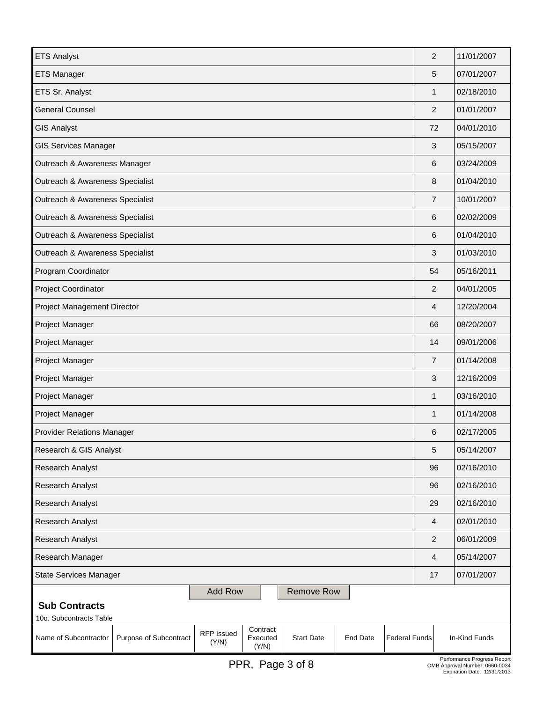| <b>ETS Analyst</b>                                                                                                                                               | $\overline{2}$ | 11/01/2007                  |  |  |  |
|------------------------------------------------------------------------------------------------------------------------------------------------------------------|----------------|-----------------------------|--|--|--|
| <b>ETS Manager</b>                                                                                                                                               | 5              | 07/01/2007                  |  |  |  |
| ETS Sr. Analyst                                                                                                                                                  | 1              | 02/18/2010                  |  |  |  |
| <b>General Counsel</b>                                                                                                                                           | $\overline{2}$ | 01/01/2007                  |  |  |  |
| <b>GIS Analyst</b>                                                                                                                                               | 72             | 04/01/2010                  |  |  |  |
| <b>GIS Services Manager</b>                                                                                                                                      | 3              | 05/15/2007                  |  |  |  |
| Outreach & Awareness Manager                                                                                                                                     | 6              | 03/24/2009                  |  |  |  |
| Outreach & Awareness Specialist                                                                                                                                  | 8              | 01/04/2010                  |  |  |  |
| Outreach & Awareness Specialist                                                                                                                                  | $\overline{7}$ | 10/01/2007                  |  |  |  |
| Outreach & Awareness Specialist                                                                                                                                  | 6              | 02/02/2009                  |  |  |  |
| Outreach & Awareness Specialist                                                                                                                                  | 6              | 01/04/2010                  |  |  |  |
| Outreach & Awareness Specialist                                                                                                                                  | 3              | 01/03/2010                  |  |  |  |
| Program Coordinator                                                                                                                                              | 54             | 05/16/2011                  |  |  |  |
| Project Coordinator                                                                                                                                              | 2              | 04/01/2005                  |  |  |  |
| Project Management Director                                                                                                                                      | 4              | 12/20/2004                  |  |  |  |
| Project Manager                                                                                                                                                  | 66             | 08/20/2007                  |  |  |  |
| Project Manager                                                                                                                                                  | 14             | 09/01/2006                  |  |  |  |
| Project Manager                                                                                                                                                  | $\overline{7}$ | 01/14/2008                  |  |  |  |
| Project Manager                                                                                                                                                  | 3              | 12/16/2009                  |  |  |  |
| Project Manager                                                                                                                                                  | 1              | 03/16/2010                  |  |  |  |
| Project Manager                                                                                                                                                  | $\mathbf{1}$   | 01/14/2008                  |  |  |  |
| <b>Provider Relations Manager</b>                                                                                                                                | 6              | 02/17/2005                  |  |  |  |
| Research & GIS Analyst                                                                                                                                           | 5              | 05/14/2007                  |  |  |  |
| Research Analyst                                                                                                                                                 | 96             | 02/16/2010                  |  |  |  |
| Research Analyst                                                                                                                                                 | 96             | 02/16/2010                  |  |  |  |
| Research Analyst                                                                                                                                                 | 29             | 02/16/2010                  |  |  |  |
| Research Analyst                                                                                                                                                 | 4              | 02/01/2010                  |  |  |  |
| Research Analyst                                                                                                                                                 | $\overline{2}$ | 06/01/2009                  |  |  |  |
| Research Manager                                                                                                                                                 | 4              | 05/14/2007                  |  |  |  |
| <b>State Services Manager</b>                                                                                                                                    | 17             | 07/01/2007                  |  |  |  |
| <b>Add Row</b><br><b>Remove Row</b><br><b>Sub Contracts</b><br>10o. Subcontracts Table                                                                           |                |                             |  |  |  |
| Contract<br>RFP Issued<br>Executed<br>Name of Subcontractor<br>Purpose of Subcontract<br><b>Start Date</b><br>End Date<br><b>Federal Funds</b><br>(Y/N)<br>(Y/N) |                | In-Kind Funds               |  |  |  |
|                                                                                                                                                                  |                | Performance Progress Report |  |  |  |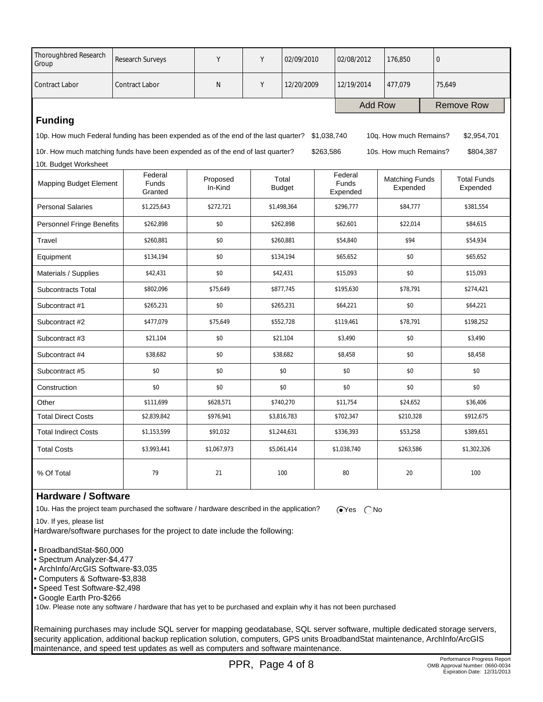| <b>Thoroughbred Research</b><br>Group                                                                                                      | Research Surveys                                                               | Y                   | Y | 02/09/2010             |           | 02/08/2012                          | 176,850                           |                   | $\mathbf 0$                    |  |
|--------------------------------------------------------------------------------------------------------------------------------------------|--------------------------------------------------------------------------------|---------------------|---|------------------------|-----------|-------------------------------------|-----------------------------------|-------------------|--------------------------------|--|
| <b>Contract Labor</b>                                                                                                                      | <b>Contract Labor</b>                                                          | N                   | Υ | 12/20/2009             |           | 12/19/2014                          | 477,079                           |                   | 75,649                         |  |
|                                                                                                                                            |                                                                                |                     |   |                        |           | <b>Add Row</b>                      |                                   | <b>Remove Row</b> |                                |  |
| <b>Funding</b>                                                                                                                             |                                                                                |                     |   |                        |           |                                     |                                   |                   |                                |  |
| 10p. How much Federal funding has been expended as of the end of the last quarter?<br>\$1,038,740<br>10q. How much Remains?<br>\$2,954,701 |                                                                                |                     |   |                        |           |                                     |                                   |                   |                                |  |
|                                                                                                                                            | 10r. How much matching funds have been expended as of the end of last quarter? |                     |   |                        | \$263,586 |                                     | 10s. How much Remains?            |                   | \$804,387                      |  |
| 10t. Budget Worksheet                                                                                                                      |                                                                                |                     |   |                        |           |                                     |                                   |                   |                                |  |
| Mapping Budget Element                                                                                                                     | Federal<br><b>Funds</b><br>Granted                                             | Proposed<br>In-Kind |   | Total<br><b>Budget</b> |           | Federal<br><b>Funds</b><br>Expended | <b>Matching Funds</b><br>Expended |                   | <b>Total Funds</b><br>Expended |  |
| <b>Personal Salaries</b>                                                                                                                   | \$1,225,643                                                                    | \$272,721           |   | \$1,498,364            |           | \$296,777                           | \$84,777                          |                   | \$381,554                      |  |
| Personnel Fringe Benefits                                                                                                                  | \$262,898                                                                      | \$0                 |   | \$262,898              |           | \$62,601                            | \$22.014                          |                   | \$84,615                       |  |
| Travel                                                                                                                                     | \$260.881                                                                      | \$0                 |   | \$260.881              |           | \$54,840                            | \$94                              |                   | \$54.934                       |  |
| Equipment                                                                                                                                  | \$134,194                                                                      | \$0                 |   | \$134,194              | \$65,652  |                                     | \$0                               |                   | \$65,652                       |  |
| Materials / Supplies                                                                                                                       | \$42,431                                                                       | \$0                 |   | \$42,431               |           | \$15,093                            | \$0                               |                   | \$15,093                       |  |
| Subcontracts Total                                                                                                                         | \$802,096                                                                      | \$75,649            |   | \$877,745              |           | \$195,630                           | \$78,791                          |                   | \$274,421                      |  |
| Subcontract #1                                                                                                                             | \$265,231                                                                      | \$0                 |   | \$265,231              |           | \$64,221                            | \$0                               |                   | \$64,221                       |  |
| Subcontract #2                                                                                                                             | \$477,079                                                                      | \$75,649            |   | \$552,728              |           | \$119,461                           | \$78,791                          |                   | \$198,252                      |  |
| Subcontract #3                                                                                                                             | \$21,104                                                                       | \$0                 |   | \$21,104               |           | \$3,490                             | \$0                               |                   | \$3,490                        |  |
| Subcontract #4                                                                                                                             | \$38,682                                                                       | \$0                 |   | \$38,682               |           | \$8,458                             | \$0                               |                   | \$8,458                        |  |
| Subcontract #5                                                                                                                             | \$0                                                                            | \$0                 |   | \$0                    |           | \$0                                 | \$0                               |                   | \$0                            |  |
| Construction                                                                                                                               | \$0                                                                            | \$0                 |   | \$0                    |           | \$0                                 | \$0                               |                   | \$0                            |  |
| Other                                                                                                                                      | \$111,699                                                                      | \$628,571           |   | \$740,270              | \$11,754  |                                     | \$24,652                          |                   | \$36,406                       |  |
| <b>Total Direct Costs</b>                                                                                                                  | \$2,839,842                                                                    | \$976,941           |   | \$3,816,783            |           | \$702,347                           | \$210,328                         |                   | \$912,675                      |  |
| <b>Total Indirect Costs</b>                                                                                                                | \$1,153,599                                                                    | \$91,032            |   | \$1,244,631            |           | \$336,393                           | \$53,258                          |                   | \$389,651                      |  |
| <b>Total Costs</b>                                                                                                                         | \$3,993,441                                                                    | \$1,067,973         |   | \$5,061,414            |           | \$263,586<br>\$1,038,740            |                                   |                   | \$1,302,326                    |  |
| % Of Total                                                                                                                                 | 79                                                                             | 21                  |   | 100                    |           | 80                                  | 20                                |                   | 100                            |  |

## **Hardware / Software**

10u. Has the project team purchased the software / hardware described in the application?  $\bigcirc$ Yes  $\bigcirc$ No

10v. If yes, please list

Hardware/software purchases for the project to date include the following:

- BroadbandStat-\$60,000
- Spectrum Analyzer-\$4,477
- ArchInfo/ArcGIS Software-\$3,035
- Computers & Software-\$3,838
- Speed Test Software-\$2,498
- Google Earth Pro-\$266

10w. Please note any software / hardware that has yet to be purchased and explain why it has not been purchased

Remaining purchases may include SQL server for mapping geodatabase, SQL server software, multiple dedicated storage servers, security application, additional backup replication solution, computers, GPS units BroadbandStat maintenance, ArchInfo/ArcGIS maintenance, and speed test updates as well as computers and software maintenance.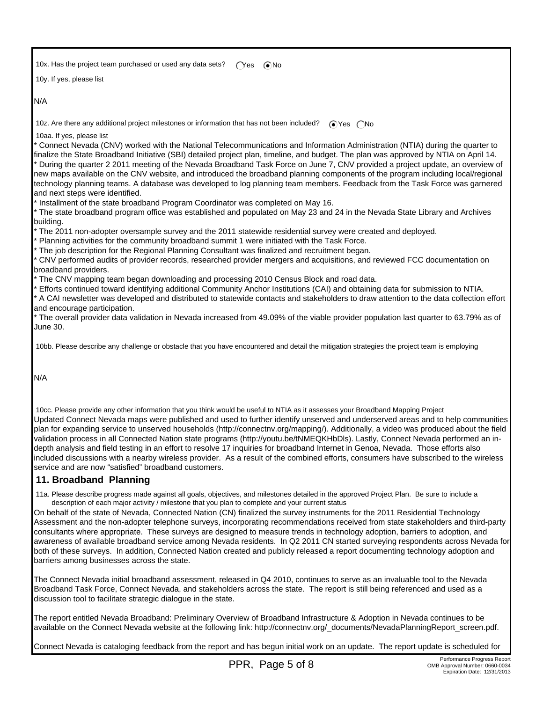10x. Has the project team purchased or used any data sets?  $\bigcap_{s=1}^{\infty}$   $\bigcap_{s=1}^{\infty}$ 

10y. If yes, please list

N/A

10z. Are there any additional project milestones or information that has not been included?  $\bigcirc$  Yes  $\bigcirc$  No

10aa. If yes, please list

\* Connect Nevada (CNV) worked with the National Telecommunications and Information Administration (NTIA) during the quarter to finalize the State Broadband Initiative (SBI) detailed project plan, timeline, and budget. The plan was approved by NTIA on April 14. \* During the quarter 2 2011 meeting of the Nevada Broadband Task Force on June 7, CNV provided a project update, an overview of new maps available on the CNV website, and introduced the broadband planning components of the program including local/regional technology planning teams. A database was developed to log planning team members. Feedback from the Task Force was garnered and next steps were identified.

\* Installment of the state broadband Program Coordinator was completed on May 16.

\* The state broadband program office was established and populated on May 23 and 24 in the Nevada State Library and Archives building.

\* The 2011 non-adopter oversample survey and the 2011 statewide residential survey were created and deployed.

\* Planning activities for the community broadband summit 1 were initiated with the Task Force.

\* The job description for the Regional Planning Consultant was finalized and recruitment began.

\* CNV performed audits of provider records, researched provider mergers and acquisitions, and reviewed FCC documentation on broadband providers.

\* The CNV mapping team began downloading and processing 2010 Census Block and road data.

\* Efforts continued toward identifying additional Community Anchor Institutions (CAI) and obtaining data for submission to NTIA. \* A CAI newsletter was developed and distributed to statewide contacts and stakeholders to draw attention to the data collection effort

and encourage participation.

\* The overall provider data validation in Nevada increased from 49.09% of the viable provider population last quarter to 63.79% as of June 30.

10bb. Please describe any challenge or obstacle that you have encountered and detail the mitigation strategies the project team is employing

N/A

 10cc. Please provide any other information that you think would be useful to NTIA as it assesses your Broadband Mapping Project Updated Connect Nevada maps were published and used to further identify unserved and underserved areas and to help communities plan for expanding service to unserved households (http://connectnv.org/mapping/). Additionally, a video was produced about the field validation process in all Connected Nation state programs (http://youtu.be/tNMEQKHbDls). Lastly, Connect Nevada performed an indepth analysis and field testing in an effort to resolve 17 inquiries for broadband Internet in Genoa, Nevada. Those efforts also included discussions with a nearby wireless provider. As a result of the combined efforts, consumers have subscribed to the wireless service and are now "satisfied" broadband customers.

## **11. Broadband Planning**

 11a. Please describe progress made against all goals, objectives, and milestones detailed in the approved Project Plan. Be sure to include a description of each major activity / milestone that you plan to complete and your current status

On behalf of the state of Nevada, Connected Nation (CN) finalized the survey instruments for the 2011 Residential Technology Assessment and the non-adopter telephone surveys, incorporating recommendations received from state stakeholders and third-party consultants where appropriate. These surveys are designed to measure trends in technology adoption, barriers to adoption, and awareness of available broadband service among Nevada residents. In Q2 2011 CN started surveying respondents across Nevada for both of these surveys. In addition, Connected Nation created and publicly released a report documenting technology adoption and barriers among businesses across the state.

The Connect Nevada initial broadband assessment, released in Q4 2010, continues to serve as an invaluable tool to the Nevada Broadband Task Force, Connect Nevada, and stakeholders across the state. The report is still being referenced and used as a discussion tool to facilitate strategic dialogue in the state.

The report entitled Nevada Broadband: Preliminary Overview of Broadband Infrastructure & Adoption in Nevada continues to be available on the Connect Nevada website at the following link: http://connectnv.org/\_documents/NevadaPlanningReport\_screen.pdf.

Connect Nevada is cataloging feedback from the report and has begun initial work on an update. The report update is scheduled for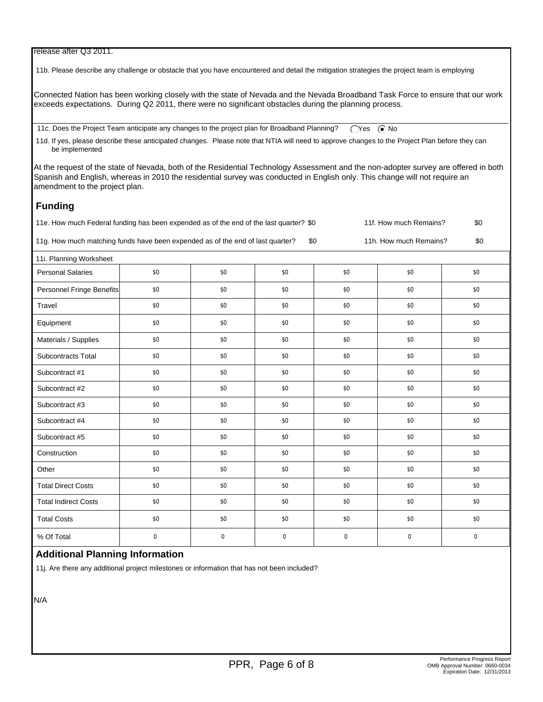#### release after Q3 2011.

11b. Please describe any challenge or obstacle that you have encountered and detail the mitigation strategies the project team is employing

Connected Nation has been working closely with the state of Nevada and the Nevada Broadband Task Force to ensure that our work exceeds expectations. During Q2 2011, there were no significant obstacles during the planning process.

11c. Does the Project Team anticipate any changes to the project plan for Broadband Planning? ( $\bigcap$ Yes  $\bigcirc$  No

 11d. If yes, please describe these anticipated changes. Please note that NTIA will need to approve changes to the Project Plan before they can be implemented

At the request of the state of Nevada, both of the Residential Technology Assessment and the non-adopter survey are offered in both Spanish and English, whereas in 2010 the residential survey was conducted in English only. This change will not require an amendment to the project plan.

## **Funding**

11e. How much Federal funding has been expended as of the end of the last quarter? \$0 11f. How much Remains? \$0

11g. How much matching funds have been expended as of the end of last quarter? \$0 11h. How much Remains? \$0

 11i. Planning Worksheet Personal Salaries | \$0 | \$0 | \$0 \$0 \$0 \$0 \$0 \$0 \$0 \$0 \$0 \$1 Personnel Fringe Benefits  $\begin{array}{cccc} 1 & 0 & 0 \\ 0 & 0 & 0 \\ 0 & 0 & 0 \end{array}$  \$0 \$0 \$0 \$0 \$0 Travel \$0 \$0 \$0 \$0 \$0 \$0 \$0 \$0 \$0 \$0 \$0 \$0 Equipment \$0 \$0 \$0 \$0 \$0 \$0 Materials / Supplies \$0 \$0 \$0 \$0 \$0 \$0 Subcontracts Total \$0 \$0 \$0 \$0 \$0 \$0 Subcontract #1 \$0 \$0 \$0 \$0 \$0 \$0 Subcontract #2 \$0 \$0 \$0 \$0 \$0 \$0 Subcontract #3 \$0 \$0 \$0 \$0 \$0 \$0 Subcontract #4 \$0 \$0 \$0 \$0 \$0 \$0 Subcontract #5 \$0 \$0 \$0 \$0 \$0 \$0 Construction \$0 \$0 \$0 \$0 \$0 \$0 Other 50 \$0 \$0 \$0 \$0 \$0 \$0 \$0 \$0 \$0 \$0 \$0 Total Direct Costs  $\begin{array}{cccc} \text{30} & \text{10} & \text{30} & \text{10} & \text{30} & \text{10} & \text{30} & \text{10} & \text{30} & \text{10} & \text{30} & \text{10} & \text{30} & \text{10} & \text{30} & \text{10} & \text{30} & \text{10} & \text{30} & \text{10} & \text{30} & \text{10} & \text{30} & \text{10} & \text{30} & \text{10} & \text{30} & \text{10$  Total Indirect Costs \$0 \$0 \$0 \$0 \$0 \$0 Total Costs \$0 \$0 \$0 \$0 \$0 \$0 % Of Total 0 0 0 0 0 0

## **Additional Planning Information**

11j. Are there any additional project milestones or information that has not been included?

N/A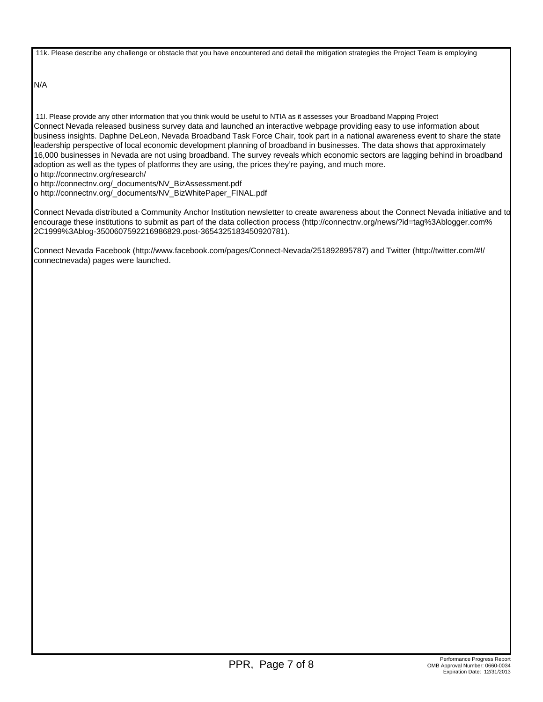11k. Please describe any challenge or obstacle that you have encountered and detail the mitigation strategies the Project Team is employing

N/A

 11l. Please provide any other information that you think would be useful to NTIA as it assesses your Broadband Mapping Project Connect Nevada released business survey data and launched an interactive webpage providing easy to use information about business insights. Daphne DeLeon, Nevada Broadband Task Force Chair, took part in a national awareness event to share the state leadership perspective of local economic development planning of broadband in businesses. The data shows that approximately 16,000 businesses in Nevada are not using broadband. The survey reveals which economic sectors are lagging behind in broadband adoption as well as the types of platforms they are using, the prices they're paying, and much more. o http://connectnv.org/research/

o http://connectnv.org/\_documents/NV\_BizAssessment.pdf

o http://connectnv.org/\_documents/NV\_BizWhitePaper\_FINAL.pdf

Connect Nevada distributed a Community Anchor Institution newsletter to create awareness about the Connect Nevada initiative and to encourage these institutions to submit as part of the data collection process (http://connectnv.org/news/?id=tag%3Ablogger.com% 2C1999%3Ablog-3500607592216986829.post-3654325183450920781).

Connect Nevada Facebook (http://www.facebook.com/pages/Connect-Nevada/251892895787) and Twitter (http://twitter.com/#!/ connectnevada) pages were launched.